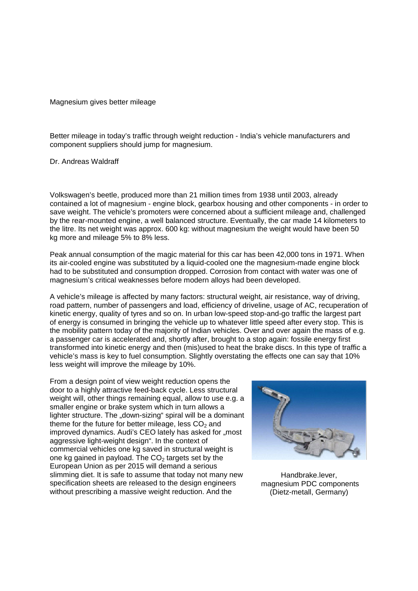## Magnesium gives better mileage

Better mileage in today's traffic through weight reduction - India's vehicle manufacturers and component suppliers should jump for magnesium.

Dr. Andreas Waldraff

Volkswagen's beetle, produced more than 21 million times from 1938 until 2003, already contained a lot of magnesium - engine block, gearbox housing and other components - in order to save weight. The vehicle's promoters were concerned about a sufficient mileage and, challenged by the rear-mounted engine, a well balanced structure. Eventually, the car made 14 kilometers to the litre. Its net weight was approx. 600 kg: without magnesium the weight would have been 50 kg more and mileage 5% to 8% less.

Peak annual consumption of the magic material for this car has been 42,000 tons in 1971. When its air-cooled engine was substituted by a liquid-cooled one the magnesium-made engine block had to be substituted and consumption dropped. Corrosion from contact with water was one of magnesium's critical weaknesses before modern alloys had been developed.

A vehicle's mileage is affected by many factors: structural weight, air resistance, way of driving, road pattern, number of passengers and load, efficiency of driveline, usage of AC, recuperation of kinetic energy, quality of tyres and so on. In urban low-speed stop-and-go traffic the largest part of energy is consumed in bringing the vehicle up to whatever little speed after every stop. This is the mobility pattern today of the majority of Indian vehicles. Over and over again the mass of e.g. a passenger car is accelerated and, shortly after, brought to a stop again: fossile energy first transformed into kinetic energy and then (mis)used to heat the brake discs. In this type of traffic a vehicle's mass is key to fuel consumption. Slightly overstating the effects one can say that 10% less weight will improve the mileage by 10%.

From a design point of view weight reduction opens the door to a highly attractive feed-back cycle. Less structural weight will, other things remaining equal, allow to use e.g. a smaller engine or brake system which in turn allows a lighter structure. The "down-sizing" spiral will be a dominant theme for the future for better mileage, less  $CO<sub>2</sub>$  and improved dynamics. Audi's CEO lately has asked for "most aggressive light-weight design". In the context of commercial vehicles one kg saved in structural weight is one kg gained in payload. The  $CO<sub>2</sub>$  targets set by the European Union as per 2015 will demand a serious slimming diet. It is safe to assume that today not many new specification sheets are released to the design engineers without prescribing a massive weight reduction. And the



Handbrake.lever, magnesium PDC components (Dietz-metall, Germany)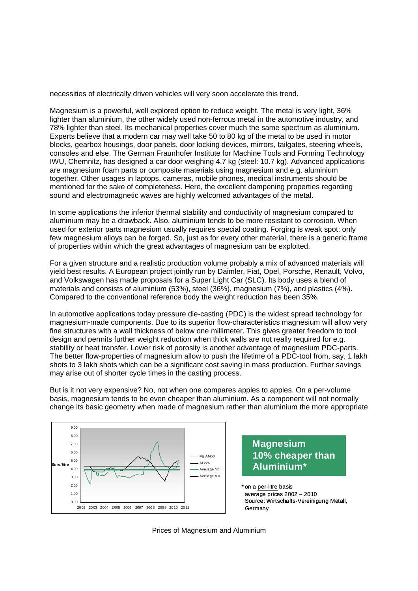necessities of electrically driven vehicles will very soon accelerate this trend.

Magnesium is a powerful, well explored option to reduce weight. The metal is very light, 36% lighter than aluminium, the other widely used non-ferrous metal in the automotive industry, and 78% lighter than steel. Its mechanical properties cover much the same spectrum as aluminium. Experts believe that a modern car may well take 50 to 80 kg of the metal to be used in motor blocks, gearbox housings, door panels, door locking devices, mirrors, tailgates, steering wheels, consoles and else. The German Fraunhofer Institute for Machine Tools and Forming Technology IWU, Chemnitz, has designed a car door weighing 4.7 kg (steel: 10.7 kg). Advanced applications are magnesium foam parts or composite materials using magnesium and e.g. aluminium together. Other usages in laptops, cameras, mobile phones, medical instruments should be mentioned for the sake of completeness. Here, the excellent dampening properties regarding sound and electromagnetic waves are highly welcomed advantages of the metal.

In some applications the inferior thermal stability and conductivity of magnesium compared to aluminium may be a drawback. Also, aluminium tends to be more resistant to corrosion. When used for exterior parts magnesium usually requires special coating. Forging is weak spot: only few magnesium alloys can be forged. So, just as for every other material, there is a generic frame of properties within which the great advantages of magnesium can be exploited.

For a given structure and a realistic production volume probably a mix of advanced materials will yield best results. A European project jointly run by Daimler, Fiat, Opel, Porsche, Renault, Volvo, and Volkswagen has made proposals for a Super Light Car (SLC). Its body uses a blend of materials and consists of aluminium (53%), steel (36%), magnesium (7%), and plastics (4%). Compared to the conventional reference body the weight reduction has been 35%.

In automotive applications today pressure die-casting (PDC) is the widest spread technology for magnesium-made components. Due to its superior flow-characteristics magnesium will allow very fine structures with a wall thickness of below one millimeter. This gives greater freedom to tool design and permits further weight reduction when thick walls are not really required for e.g. stability or heat transfer. Lower risk of porosity is another advantage of magnesium PDC-parts. The better flow-properties of magnesium allow to push the lifetime of a PDC-tool from, say, 1 lakh shots to 3 lakh shots which can be a significant cost saving in mass production. Further savings may arise out of shorter cycle times in the casting process.

But is it not very expensive? No, not when one compares apples to apples. On a per-volume basis, magnesium tends to be even cheaper than aluminium. As a component will not normally change its basic geometry when made of magnesium rather than aluminium the more appropriate





\* on a per-litre basis average prices 2002 – 2010 Source: Wirtschafts-Vereinigung Metall, Germany

Prices of Magnesium and Aluminium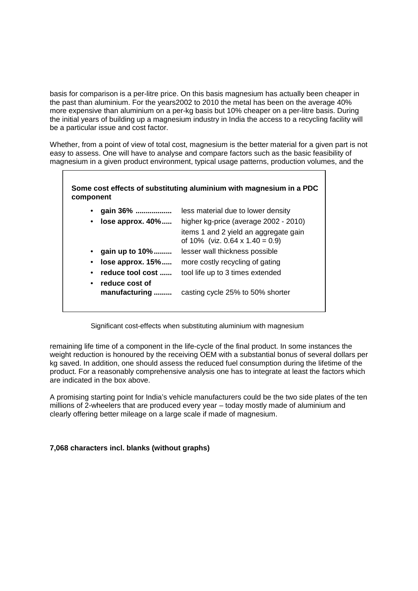basis for comparison is a per-litre price. On this basis magnesium has actually been cheaper in the past than aluminium. For the years2002 to 2010 the metal has been on the average 40% more expensive than aluminium on a per-kg basis but 10% cheaper on a per-litre basis. During the initial years of building up a magnesium industry in India the access to a recycling facility will be a particular issue and cost factor.

Whether, from a point of view of total cost, magnesium is the better material for a given part is not easy to assess. One will have to analyse and compare factors such as the basic feasibility of magnesium in a given product environment, typical usage patterns, production volumes, and the

## **Some cost effects of substituting aluminium with magnesium in a PDC component**

| gain 36%                                         | less material due to lower density                                              |
|--------------------------------------------------|---------------------------------------------------------------------------------|
| lose approx. $40\%$                              | higher kg-price (average 2002 - 2010)                                           |
|                                                  | items 1 and 2 yield an aggregate gain<br>of 10% (viz. 0.64 $\times$ 1.40 = 0.9) |
| gain up to 10%                                   | lesser wall thickness possible                                                  |
| $lose$ approx. $15\%$                            | more costly recycling of gating                                                 |
| reduce tool cost                                 | tool life up to 3 times extended                                                |
| reduce cost of<br>$\bullet$<br>manufacturing<br> | casting cycle 25% to 50% shorter                                                |

## Significant cost-effects when substituting aluminium with magnesium

remaining life time of a component in the life-cycle of the final product. In some instances the weight reduction is honoured by the receiving OEM with a substantial bonus of several dollars per kg saved. In addition, one should assess the reduced fuel consumption during the lifetime of the product. For a reasonably comprehensive analysis one has to integrate at least the factors which are indicated in the box above.

A promising starting point for India's vehicle manufacturers could be the two side plates of the ten millions of 2-wheelers that are produced every year – today mostly made of aluminium and clearly offering better mileage on a large scale if made of magnesium.

## **7,068 characters incl. blanks (without graphs)**